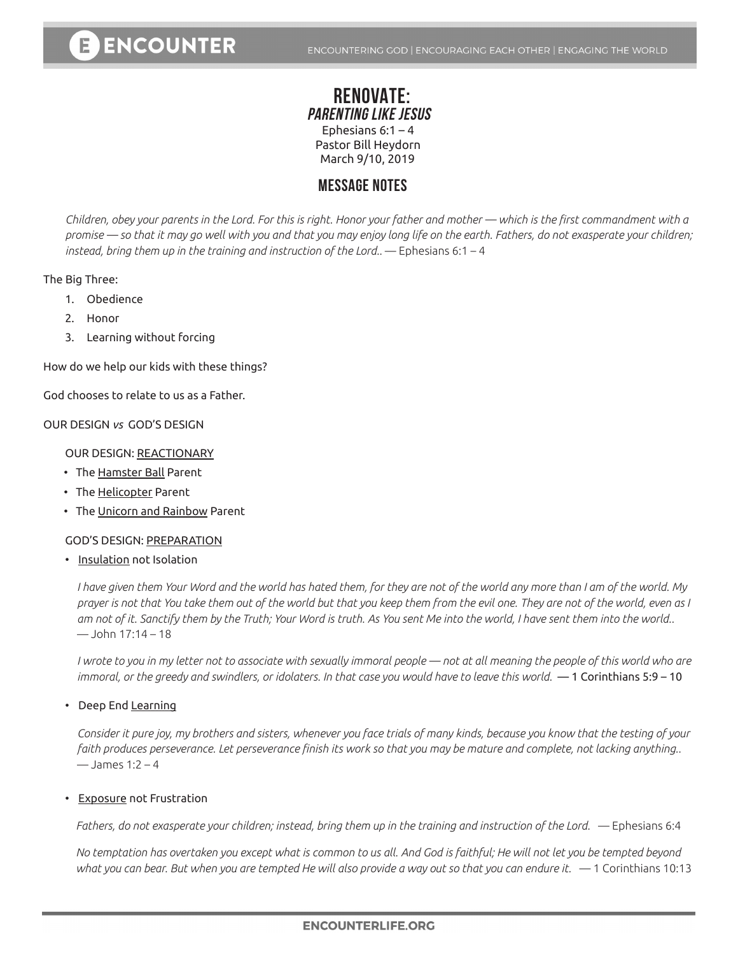# **RENOVATE: PARENTING LIKE JESUS** Ephesians  $6:1 - 4$ Pastor Bill Heydorn March 9/10, 2019

# **MESSAGE NOTES**

*Children, obey your parents in the Lord. For this is right. Honor your father and mother — which is the first commandment with a promise — so that it may go well with you and that you may enjoy long life on the earth. Fathers, do not exasperate your children; instead, bring them up in the training and instruction of the Lord..* — Ephesians 6:1 – 4

## The Big Three:

- 1. Obedience
- 2. Honor
- 3. Learning without forcing

How do we help our kids with these things?

God chooses to relate to us as a Father.

## OUR DESIGN *vs* GOD'S DESIGN

#### OUR DESIGN: REACTIONARY

- The Hamster Ball Parent
- The Helicopter Parent
- The Unicorn and Rainbow Parent

#### GOD'S DESIGN: PREPARATION

• Insulation not Isolation

*I have given them Your Word and the world has hated them, for they are not of the world any more than I am of the world. My prayer is not that You take them out of the world but that you keep them from the evil one. They are not of the world, even as I am not of it. Sanctify them by the Truth; Your Word is truth. As You sent Me into the world, I have sent them into the world..*   $-$ John 17:14 – 18

*I wrote to you in my letter not to associate with sexually immoral people — not at all meaning the people of this world who are immoral, or the greedy and swindlers, or idolaters. In that case you would have to leave this world.* — 1 Corinthians 5:9 – 10

## • Deep End <u>Learning</u>

*Consider it pure joy, my brothers and sisters, whenever you face trials of many kinds, because you know that the testing of your faith produces perseverance. Let perseverance finish its work so that you may be mature and complete, not lacking anything..*   $-$  James 1:2 – 4

#### • Exposure not Frustration

Fathers, do not exasperate your children; instead, bring them up in the training and instruction of the Lord. — Ephesians 6:4

*No temptation has overtaken you except what is common to us all. And God is faithful; He will not let you be tempted beyond what you can bear. But when you are tempted He will also provide a way out so that you can endure it.* — 1 Corinthians 10:13